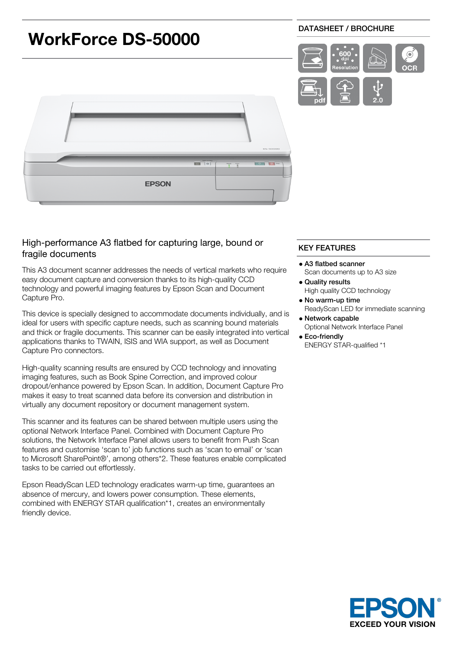

# High-performance A3 flatbed for capturing large, bound or fragile documents

This A3 document scanner addresses the needs of vertical markets who require easy document capture and conversion thanks to its high-quality CCD technology and powerful imaging features by Epson Scan and Document Capture Pro.

This device is specially designed to accommodate documents individually, and is ideal for users with specific capture needs, such as scanning bound materials and thick or fragile documents. This scanner can be easily integrated into vertical applications thanks to TWAIN, ISIS and WIA support, as well as Document Capture Pro connectors.

High-quality scanning results are ensured by CCD technology and innovating imaging features, such as Book Spine Correction, and improved colour dropout/enhance powered by Epson Scan. In addition, Document Capture Pro makes it easy to treat scanned data before its conversion and distribution in virtually any document repository or document management system.

This scanner and its features can be shared between multiple users using the optional Network Interface Panel. Combined with Document Capture Pro solutions, the Network Interface Panel allows users to benefit from Push Scan features and customise 'scan to' job functions such as 'scan to email' or 'scan to Microsoft SharePoint®', among others\*2. These features enable complicated tasks to be carried out effortlessly.

Epson ReadyScan LED technology eradicates warm-up time, guarantees an absence of mercury, and lowers power consumption. These elements, combined with ENERGY STAR qualification\*1, creates an environmentally friendly device.

## KEY FEATURES

- A3 flatbed scanner Scan documents up to A3 size Quality results
- High quality CCD technology
- No warm-up time ReadyScan LED for immediate scanning
- Network capable Optional Network Interface Panel
- Eco-friendly ENERGY STAR-qualified \*1